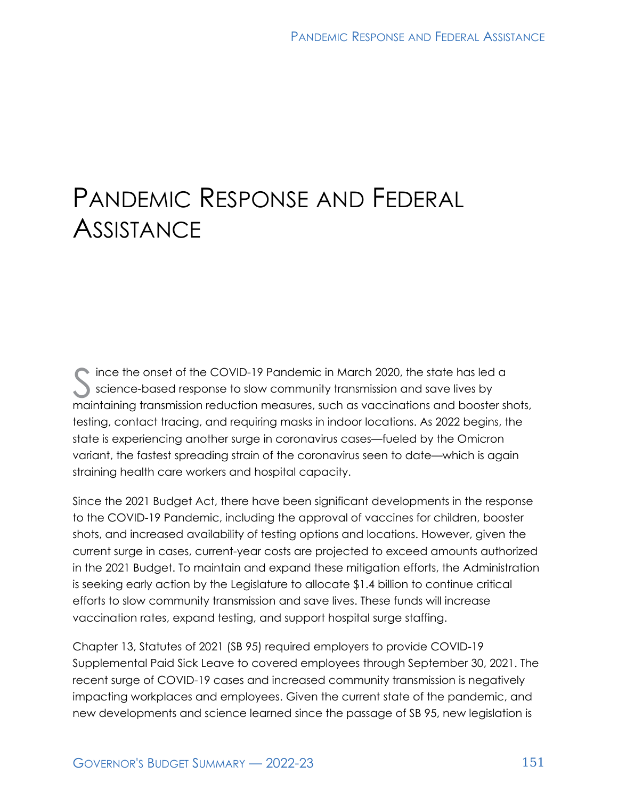# PANDEMIC RESPONSE AND FEDERAL **ASSISTANCE**

S ince the onset of the COVID-19 Pandemic in March 2020, the state has led a science-based response to slow community transmission and save lives by science-based response to slow community transmission and save lives by maintaining transmission reduction measures, such as vaccinations and booster shots, testing, contact tracing, and requiring masks in indoor locations. As 2022 begins, the state is experiencing another surge in coronavirus cases—fueled by the Omicron variant, the fastest spreading strain of the coronavirus seen to date—which is again straining health care workers and hospital capacity.

Since the 2021 Budget Act, there have been significant developments in the response to the COVID-19 Pandemic, including the approval of vaccines for children, booster shots, and increased availability of testing options and locations. However, given the current surge in cases, current-year costs are projected to exceed amounts authorized in the 2021 Budget. To maintain and expand these mitigation efforts, the Administration is seeking early action by the Legislature to allocate \$1.4 billion to continue critical efforts to slow community transmission and save lives. These funds will increase vaccination rates, expand testing, and support hospital surge staffing.

Chapter 13, Statutes of 2021 (SB 95) required employers to provide COVID-19 Supplemental Paid Sick Leave to covered employees through September 30, 2021. The recent surge of COVID-19 cases and increased community transmission is negatively impacting workplaces and employees. Given the current state of the pandemic, and new developments and science learned since the passage of SB 95, new legislation is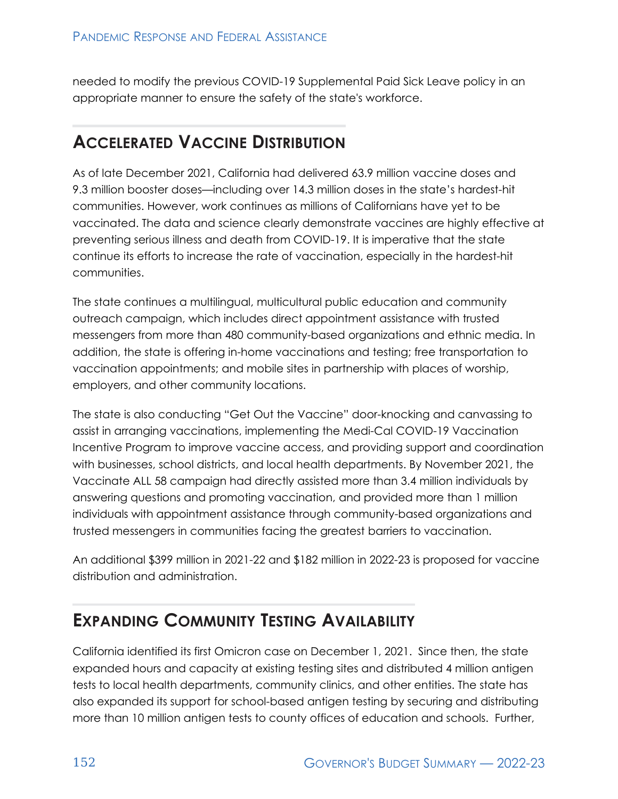needed to modify the previous COVID-19 Supplemental Paid Sick Leave policy in an appropriate manner to ensure the safety of the state's workforce.

#### **ACCELERATED VACCINE DISTRIBUTION**

As of late December 2021, California had delivered 63.9 million vaccine doses and 9.3 million booster doses—including over 14.3 million doses in the state's hardest-hit communities. However, work continues as millions of Californians have yet to be vaccinated. The data and science clearly demonstrate vaccines are highly effective at preventing serious illness and death from COVID-19. It is imperative that the state continue its efforts to increase the rate of vaccination, especially in the hardest-hit communities.

The state continues a multilingual, multicultural public education and community outreach campaign, which includes direct appointment assistance with trusted messengers from more than 480 community-based organizations and ethnic media. In addition, the state is offering in-home vaccinations and testing; free transportation to vaccination appointments; and mobile sites in partnership with places of worship, employers, and other community locations.

The state is also conducting "Get Out the Vaccine" door-knocking and canvassing to assist in arranging vaccinations, implementing the Medi-Cal COVID-19 Vaccination Incentive Program to improve vaccine access, and providing support and coordination with businesses, school districts, and local health departments. By November 2021, the Vaccinate ALL 58 campaign had directly assisted more than 3.4 million individuals by answering questions and promoting vaccination, and provided more than 1 million individuals with appointment assistance through community-based organizations and trusted messengers in communities facing the greatest barriers to vaccination.

An additional \$399 million in 2021-22 and \$182 million in 2022-23 is proposed for vaccine distribution and administration.

#### **EXPANDING COMMUNITY TESTING AVAILABILITY**

California identified its first Omicron case on December 1, 2021. Since then, the state expanded hours and capacity at existing testing sites and distributed 4 million antigen tests to local health departments, community clinics, and other entities. The state has also expanded its support for school-based antigen testing by securing and distributing more than 10 million antigen tests to county offices of education and schools. Further,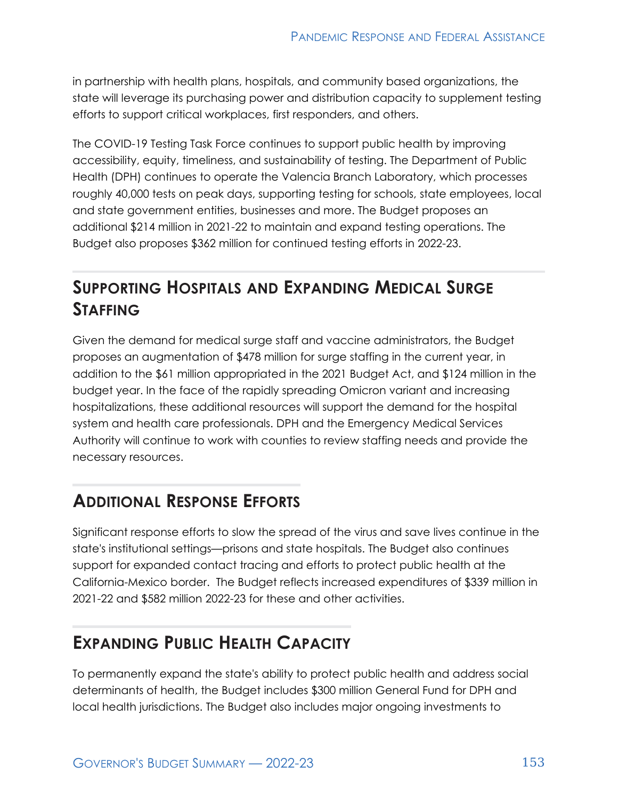in partnership with health plans, hospitals, and community based organizations, the state will leverage its purchasing power and distribution capacity to supplement testing efforts to support critical workplaces, first responders, and others.

The COVID-19 Testing Task Force continues to support public health by improving accessibility, equity, timeliness, and sustainability of testing. The Department of Public Health (DPH) continues to operate the Valencia Branch Laboratory, which processes roughly 40,000 tests on peak days, supporting testing for schools, state employees, local and state government entities, businesses and more. The Budget proposes an additional \$214 million in 2021-22 to maintain and expand testing operations. The Budget also proposes \$362 million for continued testing efforts in 2022-23.

## **SUPPORTING HOSPITALS AND EXPANDING MEDICAL SURGE STAFFING**

Given the demand for medical surge staff and vaccine administrators, the Budget proposes an augmentation of \$478 million for surge staffing in the current year, in addition to the \$61 million appropriated in the 2021 Budget Act, and \$124 million in the budget year. In the face of the rapidly spreading Omicron variant and increasing hospitalizations, these additional resources will support the demand for the hospital system and health care professionals. DPH and the Emergency Medical Services Authority will continue to work with counties to review staffing needs and provide the necessary resources.

#### **ADDITIONAL RESPONSE EFFORTS**

Significant response efforts to slow the spread of the virus and save lives continue in the state's institutional settings—prisons and state hospitals. The Budget also continues support for expanded contact tracing and efforts to protect public health at the California-Mexico border. The Budget reflects increased expenditures of \$339 million in 2021-22 and \$582 million 2022-23 for these and other activities.

#### **EXPANDING PUBLIC HEALTH CAPACITY**

To permanently expand the state's ability to protect public health and address social determinants of health, the Budget includes \$300 million General Fund for DPH and local health jurisdictions. The Budget also includes major ongoing investments to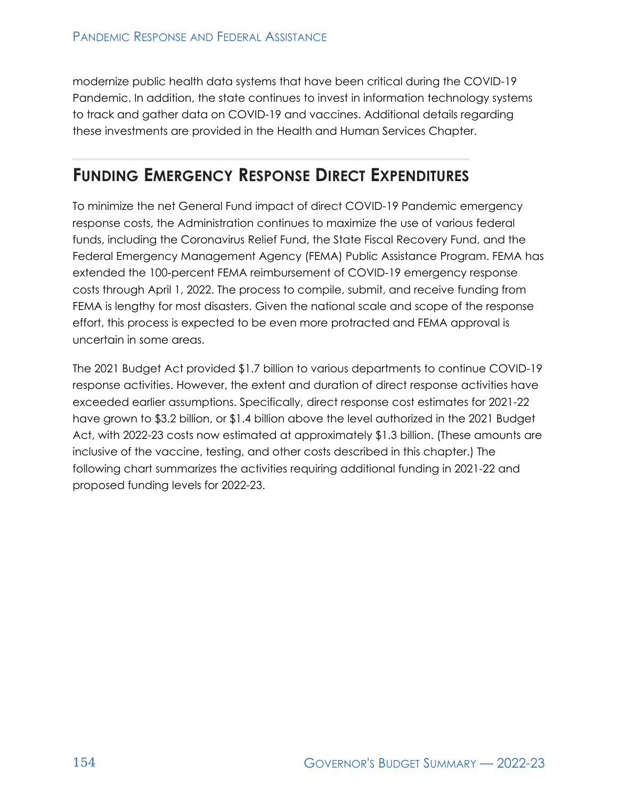modernize public health data systems that have been critical during the COVID-19 Pandemic. In addition, the state continues to invest in information technology systems to track and gather data on COVID-19 and vaccines. Additional details regarding these investments are provided in the Health and Human Services Chapter.

### **FUNDING EMERGENCY RESPONSE DIRECT EXPENDITURES**

To minimize the net General Fund impact of direct COVID-19 Pandemic emergency response costs, the Administration continues to maximize the use of various federal funds, including the Coronavirus Relief Fund, the State Fiscal Recovery Fund, and the Federal Emergency Management Agency (FEMA) Public Assistance Program. FEMA has extended the 100‑percent FEMA reimbursement of COVID-19 emergency response costs through April 1, 2022. The process to compile, submit, and receive funding from FEMA is lengthy for most disasters. Given the national scale and scope of the response effort, this process is expected to be even more protracted and FEMA approval is uncertain in some areas.

The 2021 Budget Act provided \$1.7 billion to various departments to continue COVID-19 response activities. However, the extent and duration of direct response activities have exceeded earlier assumptions. Specifically, direct response cost estimates for 2021-22 have grown to \$3.2 billion, or \$1.4 billion above the level authorized in the 2021 Budget Act, with 2022-23 costs now estimated at approximately \$1.3 billion. (These amounts are inclusive of the vaccine, testing, and other costs described in this chapter.) The following chart summarizes the activities requiring additional funding in 2021-22 and proposed funding levels for 2022-23.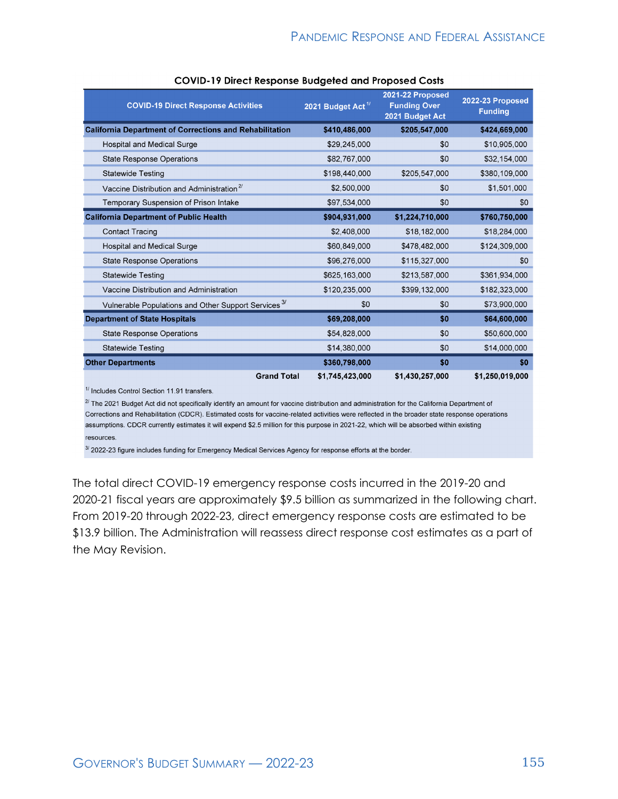| <b>COVID-19 Direct Response Activities</b>                      | 2021 Budget Act <sup>1/</sup> | 2021-22 Proposed<br><b>Funding Over</b><br>2021 Budget Act | 2022-23 Proposed<br><b>Funding</b> |
|-----------------------------------------------------------------|-------------------------------|------------------------------------------------------------|------------------------------------|
| <b>California Department of Corrections and Rehabilitation</b>  | \$410,486,000                 | \$205,547,000                                              | \$424,669,000                      |
| <b>Hospital and Medical Surge</b>                               | \$29,245,000                  | \$0                                                        | \$10,905,000                       |
| <b>State Response Operations</b>                                | \$82,767,000                  | \$0                                                        | \$32,154,000                       |
| <b>Statewide Testing</b>                                        | \$198,440,000                 | \$205,547,000                                              | \$380,109,000                      |
| Vaccine Distribution and Administration <sup>2/</sup>           | \$2,500,000                   | \$0                                                        | \$1,501,000                        |
| Temporary Suspension of Prison Intake                           | \$97,534,000                  | \$0                                                        | \$0                                |
| <b>California Department of Public Health</b>                   | \$904,931,000                 | \$1,224,710,000                                            | \$760,750,000                      |
| <b>Contact Tracing</b>                                          | \$2,408,000                   | \$18,182,000                                               | \$18,284,000                       |
| <b>Hospital and Medical Surge</b>                               | \$60,849,000                  | \$478,482,000                                              | \$124,309,000                      |
| <b>State Response Operations</b>                                | \$96,276,000                  | \$115,327,000                                              | \$0                                |
| <b>Statewide Testing</b>                                        | \$625,163,000                 | \$213,587,000                                              | \$361,934,000                      |
| Vaccine Distribution and Administration                         | \$120,235,000                 | \$399,132,000                                              | \$182,323,000                      |
| Vulnerable Populations and Other Support Services <sup>3/</sup> | \$0                           | \$0                                                        | \$73,900,000                       |
| <b>Department of State Hospitals</b>                            | \$69,208,000                  | \$0                                                        | \$64,600,000                       |
| <b>State Response Operations</b>                                | \$54,828,000                  | \$0                                                        | \$50,600,000                       |
| <b>Statewide Testing</b>                                        | \$14,380,000                  | \$0                                                        | \$14,000,000                       |
| <b>Other Departments</b>                                        | \$360,798,000                 | \$0                                                        | \$0                                |
| <b>Grand Total</b>                                              | \$1,745,423,000               | \$1,430,257,000                                            | \$1,250,019,000                    |

<sup>1/</sup> Includes Control Section 11.91 transfers.

 $2^{\prime}$  The 2021 Budget Act did not specifically identify an amount for vaccine distribution and administration for the California Department of Corrections and Rehabilitation (CDCR). Estimated costs for vaccine-related activities were reflected in the broader state response operations assumptions. CDCR currently estimates it will expend \$2.5 million for this purpose in 2021-22, which will be absorbed within existing resources.

3/ 2022-23 figure includes funding for Emergency Medical Services Agency for response efforts at the border.

The total direct COVID-19 emergency response costs incurred in the 2019-20 and 2020-21 fiscal years are approximately \$9.5 billion as summarized in the following chart. From 2019-20 through 2022-23, direct emergency response costs are estimated to be \$13.9 billion. The Administration will reassess direct response cost estimates as a part of the May Revision.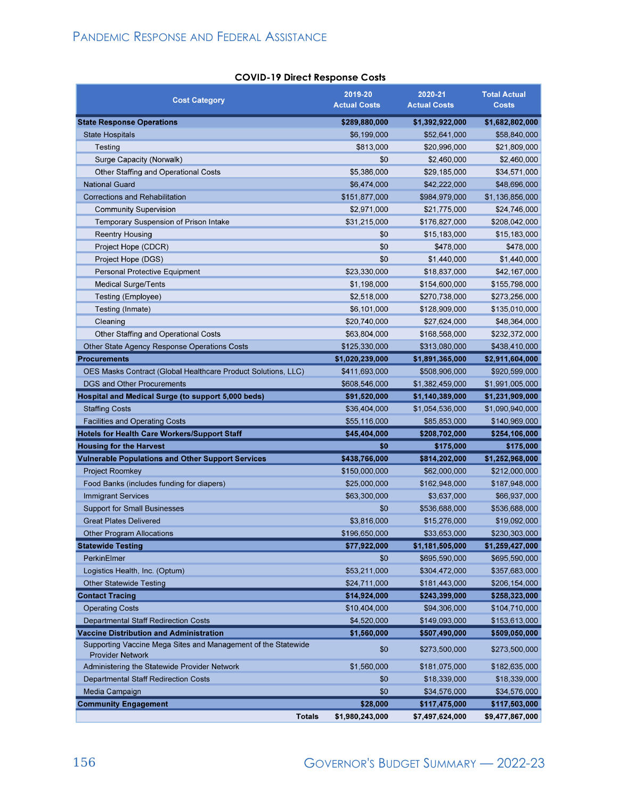| <b>COVID-19 Direct Response Costs</b> |
|---------------------------------------|
|---------------------------------------|

| <b>Cost Category</b>                                                                     | 2019-20<br><b>Actual Costs</b> | 2020-21<br><b>Actual Costs</b> | <b>Total Actual</b><br><b>Costs</b> |
|------------------------------------------------------------------------------------------|--------------------------------|--------------------------------|-------------------------------------|
| <b>State Response Operations</b>                                                         | \$289,880,000                  | \$1,392,922,000                | \$1,682,802,000                     |
| <b>State Hospitals</b>                                                                   | \$6,199,000                    | \$52,641,000                   | \$58,840,000                        |
| Testing                                                                                  | \$813,000                      | \$20,996,000                   | \$21,809,000                        |
| Surge Capacity (Norwalk)                                                                 | \$0                            | \$2,460,000                    | \$2,460,000                         |
| <b>Other Staffing and Operational Costs</b>                                              | \$5,386,000                    | \$29,185,000                   | \$34,571,000                        |
| <b>National Guard</b>                                                                    | \$6,474,000                    | \$42,222,000                   | \$48,696,000                        |
| <b>Corrections and Rehabilitation</b>                                                    | \$151,877,000                  | \$984,979,000                  | \$1,136,856,000                     |
| <b>Community Supervision</b>                                                             | \$2,971,000                    | \$21,775,000                   | \$24,746,000                        |
| Temporary Suspension of Prison Intake                                                    | \$31,215,000                   | \$176,827,000                  | \$208,042,000                       |
| <b>Reentry Housing</b>                                                                   | \$0                            | \$15,183,000                   | \$15,183,000                        |
| Project Hope (CDCR)                                                                      | \$0                            | \$478,000                      | \$478,000                           |
| Project Hope (DGS)                                                                       | \$0                            | \$1,440,000                    | \$1,440,000                         |
| Personal Protective Equipment                                                            | \$23,330,000                   | \$18,837,000                   | \$42,167,000                        |
| <b>Medical Surge/Tents</b>                                                               | \$1,198,000                    | \$154,600,000                  | \$155,798,000                       |
| Testing (Employee)                                                                       | \$2,518,000                    | \$270,738,000                  | \$273,256,000                       |
| Testing (Inmate)                                                                         | \$6,101,000                    | \$128,909,000                  | \$135,010,000                       |
| Cleaning                                                                                 | \$20,740,000                   | \$27,624,000                   | \$48,364,000                        |
| <b>Other Staffing and Operational Costs</b>                                              | \$63,804,000                   | \$168,568,000                  | \$232,372,000                       |
| Other State Agency Response Operations Costs                                             | \$125,330,000                  | \$313,080,000                  | \$438,410,000                       |
| <b>Procurements</b>                                                                      | \$1,020,239,000                | \$1,891,365,000                | \$2,911,604,000                     |
| OES Masks Contract (Global Healthcare Product Solutions, LLC)                            | \$411,693,000                  | \$508,906,000                  | \$920,599,000                       |
| <b>DGS and Other Procurements</b>                                                        | \$608,546,000                  | \$1,382,459,000                | \$1,991,005,000                     |
| Hospital and Medical Surge (to support 5,000 beds)                                       | \$91,520,000                   | \$1,140,389,000                | \$1,231,909,000                     |
| <b>Staffing Costs</b>                                                                    | \$36,404,000                   | \$1,054,536,000                | \$1,090,940,000                     |
| <b>Facilities and Operating Costs</b>                                                    | \$55,116,000                   | \$85,853,000                   | \$140,969,000                       |
| <b>Hotels for Health Care Workers/Support Staff</b>                                      | \$45,404,000                   | \$208,702,000                  | \$254,106,000                       |
| <b>Housing for the Harvest</b>                                                           | \$0                            | \$175,000                      | \$175,000                           |
| <b>Vulnerable Populations and Other Support Services</b>                                 | \$438,766,000                  | \$814,202,000                  | \$1,252,968,000                     |
| <b>Project Roomkey</b>                                                                   | \$150,000,000                  | \$62,000,000                   | \$212,000,000                       |
| Food Banks (includes funding for diapers)                                                | \$25,000,000                   | \$162,948,000                  | \$187,948,000                       |
| <b>Immigrant Services</b>                                                                | \$63,300,000                   | \$3,637,000                    | \$66,937,000                        |
| <b>Support for Small Businesses</b>                                                      | \$0                            | \$536,688,000                  | \$536,688,000                       |
| <b>Great Plates Delivered</b>                                                            | \$3,816,000                    | \$15,276,000                   | \$19,092,000                        |
| <b>Other Program Allocations</b>                                                         | \$196,650,000                  | \$33,653,000                   | \$230,303,000                       |
| <b>Statewide Testing</b>                                                                 | \$77,922,000                   | \$1,181,505,000                | \$1,259,427,000                     |
| PerkinElmer                                                                              | \$0                            | \$695,590,000                  | \$695,590,000                       |
| Logistics Health, Inc. (Optum)                                                           | \$53,211,000                   | \$304,472,000                  | \$357,683,000                       |
| <b>Other Statewide Testing</b>                                                           | \$24,711,000                   | \$181,443,000                  | \$206,154,000                       |
| <b>Contact Tracing</b>                                                                   | \$14,924,000                   | \$243,399,000                  | \$258,323,000                       |
| <b>Operating Costs</b>                                                                   | \$10,404,000                   | \$94,306,000                   | \$104,710,000                       |
| <b>Departmental Staff Redirection Costs</b>                                              | \$4,520,000                    | \$149,093,000                  | \$153,613,000                       |
| <b>Vaccine Distribution and Administration</b>                                           | \$1,560,000                    | \$507,490,000                  | \$509,050,000                       |
| Supporting Vaccine Mega Sites and Management of the Statewide<br><b>Provider Network</b> | \$0                            | \$273,500,000                  | \$273,500,000                       |
| Administering the Statewide Provider Network                                             | \$1,560,000                    | \$181,075,000                  | \$182,635,000                       |
| <b>Departmental Staff Redirection Costs</b>                                              | \$0                            | \$18,339,000                   | \$18,339,000                        |
| Media Campaign                                                                           | \$0                            | \$34,576,000                   | \$34,576,000                        |
| <b>Community Engagement</b>                                                              | \$28,000                       | \$117,475,000                  | \$117,503,000                       |
| <b>Totals</b>                                                                            | \$1,980,243,000                | \$7,497,624,000                | \$9,477,867,000                     |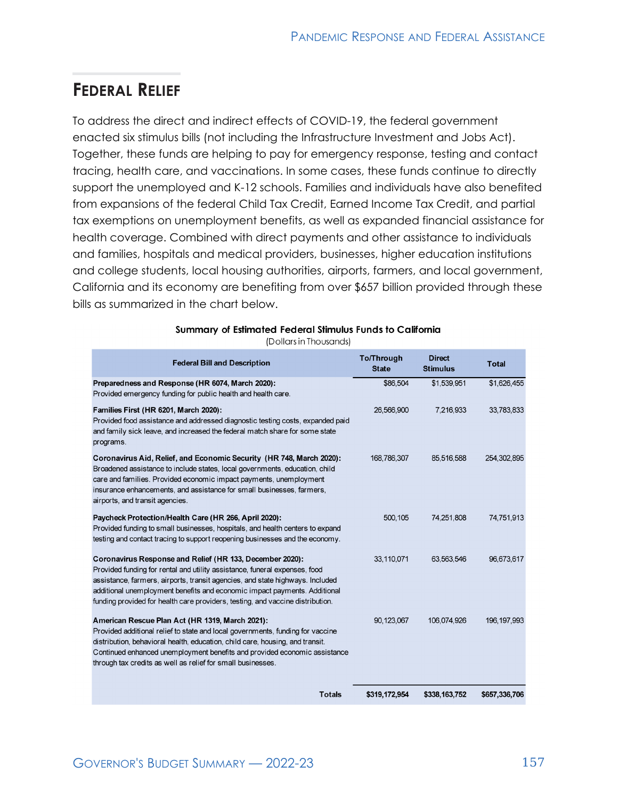#### **FEDERAL RELIEF**

To address the direct and indirect effects of COVID-19, the federal government enacted six stimulus bills (not including the Infrastructure Investment and Jobs Act). Together, these funds are helping to pay for emergency response, testing and contact tracing, health care, and vaccinations. In some cases, these funds continue to directly support the unemployed and K-12 schools. Families and individuals have also benefited from expansions of the federal Child Tax Credit, Earned Income Tax Credit, and partial tax exemptions on unemployment benefits, as well as expanded financial assistance for health coverage. Combined with direct payments and other assistance to individuals and families, hospitals and medical providers, businesses, higher education institutions and college students, local housing authorities, airports, farmers, and local government, California and its economy are benefiting from over \$657 billion provided through these bills as summarized in the chart below.

| <b>Federal Bill and Description</b>                                                                                                                                                                                                                                                                                                                                                    | <b>To/Through</b><br><b>State</b> | <b>Direct</b><br><b>Stimulus</b> | <b>Total</b>  |
|----------------------------------------------------------------------------------------------------------------------------------------------------------------------------------------------------------------------------------------------------------------------------------------------------------------------------------------------------------------------------------------|-----------------------------------|----------------------------------|---------------|
| Preparedness and Response (HR 6074, March 2020):<br>Provided emergency funding for public health and health care.                                                                                                                                                                                                                                                                      | \$86,504                          | \$1,539,951                      | \$1,626,455   |
| Families First (HR 6201, March 2020):<br>Provided food assistance and addressed diagnostic testing costs, expanded paid<br>and family sick leave, and increased the federal match share for some state<br>programs.                                                                                                                                                                    | 26,566,900                        | 7,216,933                        | 33,783,833    |
| Coronavirus Aid, Relief, and Economic Security (HR 748, March 2020):<br>Broadened assistance to include states, local governments, education, child<br>care and families. Provided economic impact payments, unemployment<br>insurance enhancements, and assistance for small businesses, farmers,<br>airports, and transit agencies.                                                  | 168,786,307                       | 85,516,588                       | 254, 302, 895 |
| Paycheck Protection/Health Care (HR 266, April 2020):<br>Provided funding to small businesses, hospitals, and health centers to expand<br>testing and contact tracing to support reopening businesses and the economy.                                                                                                                                                                 | 500,105                           | 74,251,808                       | 74,751,913    |
| Coronavirus Response and Relief (HR 133, December 2020):<br>Provided funding for rental and utility assistance, funeral expenses, food<br>assistance, farmers, airports, transit agencies, and state highways. Included<br>additional unemployment benefits and economic impact payments. Additional<br>funding provided for health care providers, testing, and vaccine distribution. | 33,110,071                        | 63,563,546                       | 96,673,617    |
| American Rescue Plan Act (HR 1319, March 2021):<br>Provided additional relief to state and local governments, funding for vaccine<br>distribution, behavioral health, education, child care, housing, and transit.<br>Continued enhanced unemployment benefits and provided economic assistance<br>through tax credits as well as relief for small businesses.                         | 90, 123, 067                      | 106,074,926                      | 196, 197, 993 |
| Totals                                                                                                                                                                                                                                                                                                                                                                                 | \$319 172 954                     | \$338 163 752                    | \$657 336 706 |

#### Summary of Estimated Federal Stimulus Funds to California

(Dollars in Thousands)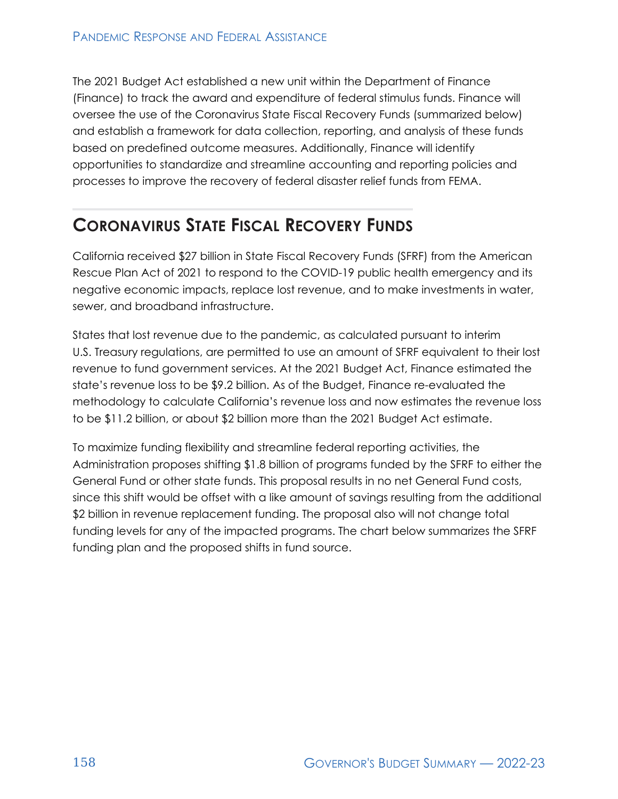The 2021 Budget Act established a new unit within the Department of Finance (Finance) to track the award and expenditure of federal stimulus funds. Finance will oversee the use of the Coronavirus State Fiscal Recovery Funds (summarized below) and establish a framework for data collection, reporting, and analysis of these funds based on predefined outcome measures. Additionally, Finance will identify opportunities to standardize and streamline accounting and reporting policies and processes to improve the recovery of federal disaster relief funds from FEMA.

### **CORONAVIRUS STATE FISCAL RECOVERY FUNDS**

California received \$27 billion in State Fiscal Recovery Funds (SFRF) from the American Rescue Plan Act of 2021 to respond to the COVID-19 public health emergency and its negative economic impacts, replace lost revenue, and to make investments in water, sewer, and broadband infrastructure.

States that lost revenue due to the pandemic, as calculated pursuant to interim U.S. Treasury regulations, are permitted to use an amount of SFRF equivalent to their lost revenue to fund government services. At the 2021 Budget Act, Finance estimated the state's revenue loss to be \$9.2 billion. As of the Budget, Finance re-evaluated the methodology to calculate California's revenue loss and now estimates the revenue loss to be \$11.2 billion, or about \$2 billion more than the 2021 Budget Act estimate.

To maximize funding flexibility and streamline federal reporting activities, the Administration proposes shifting \$1.8 billion of programs funded by the SFRF to either the General Fund or other state funds. This proposal results in no net General Fund costs, since this shift would be offset with a like amount of savings resulting from the additional \$2 billion in revenue replacement funding. The proposal also will not change total funding levels for any of the impacted programs. The chart below summarizes the SFRF funding plan and the proposed shifts in fund source.